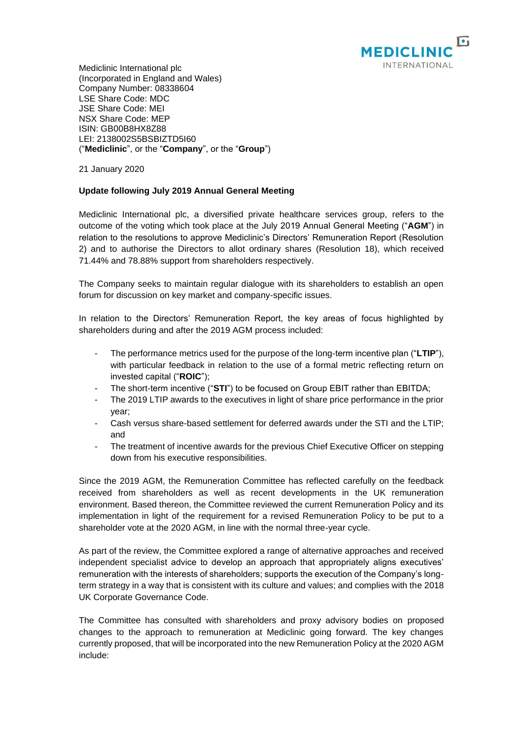

Mediclinic International plc (Incorporated in England and Wales) Company Number: 08338604 LSE Share Code: MDC JSE Share Code: MEI NSX Share Code: MEP ISIN: GB00B8HX8Z88 LEI: 2138002S5BSBIZTD5I60 ("**Mediclinic**", or the "**Company**", or the "**Group**")

21 January 2020

## **Update following July 2019 Annual General Meeting**

Mediclinic International plc, a diversified private healthcare services group, refers to the outcome of the voting which took place at the July 2019 Annual General Meeting ("**AGM**") in relation to the resolutions to approve Mediclinic's Directors' Remuneration Report (Resolution 2) and to authorise the Directors to allot ordinary shares (Resolution 18), which received 71.44% and 78.88% support from shareholders respectively.

The Company seeks to maintain regular dialogue with its shareholders to establish an open forum for discussion on key market and company-specific issues.

In relation to the Directors' Remuneration Report, the key areas of focus highlighted by shareholders during and after the 2019 AGM process included:

- The performance metrics used for the purpose of the long-term incentive plan ("**LTIP**"), with particular feedback in relation to the use of a formal metric reflecting return on invested capital ("**ROIC**");
- The short-term incentive ("STI") to be focused on Group EBIT rather than EBITDA;
- The 2019 LTIP awards to the executives in light of share price performance in the prior year;
- Cash versus share-based settlement for deferred awards under the STI and the LTIP; and
- The treatment of incentive awards for the previous Chief Executive Officer on stepping down from his executive responsibilities.

Since the 2019 AGM, the Remuneration Committee has reflected carefully on the feedback received from shareholders as well as recent developments in the UK remuneration environment. Based thereon, the Committee reviewed the current Remuneration Policy and its implementation in light of the requirement for a revised Remuneration Policy to be put to a shareholder vote at the 2020 AGM, in line with the normal three-year cycle.

As part of the review, the Committee explored a range of alternative approaches and received independent specialist advice to develop an approach that appropriately aligns executives' remuneration with the interests of shareholders; supports the execution of the Company's longterm strategy in a way that is consistent with its culture and values; and complies with the 2018 UK Corporate Governance Code.

The Committee has consulted with shareholders and proxy advisory bodies on proposed changes to the approach to remuneration at Mediclinic going forward. The key changes currently proposed, that will be incorporated into the new Remuneration Policy at the 2020 AGM include: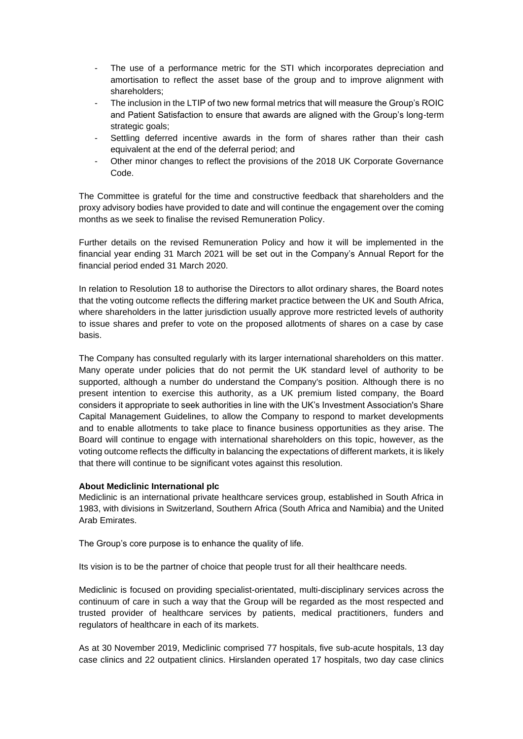- The use of a performance metric for the STI which incorporates depreciation and amortisation to reflect the asset base of the group and to improve alignment with shareholders;
- The inclusion in the LTIP of two new formal metrics that will measure the Group's ROIC and Patient Satisfaction to ensure that awards are aligned with the Group's long-term strategic goals;
- Settling deferred incentive awards in the form of shares rather than their cash equivalent at the end of the deferral period; and
- Other minor changes to reflect the provisions of the 2018 UK Corporate Governance Code.

The Committee is grateful for the time and constructive feedback that shareholders and the proxy advisory bodies have provided to date and will continue the engagement over the coming months as we seek to finalise the revised Remuneration Policy.

Further details on the revised Remuneration Policy and how it will be implemented in the financial year ending 31 March 2021 will be set out in the Company's Annual Report for the financial period ended 31 March 2020.

In relation to Resolution 18 to authorise the Directors to allot ordinary shares, the Board notes that the voting outcome reflects the differing market practice between the UK and South Africa, where shareholders in the latter jurisdiction usually approve more restricted levels of authority to issue shares and prefer to vote on the proposed allotments of shares on a case by case basis.

The Company has consulted regularly with its larger international shareholders on this matter. Many operate under policies that do not permit the UK standard level of authority to be supported, although a number do understand the Company's position. Although there is no present intention to exercise this authority, as a UK premium listed company, the Board considers it appropriate to seek authorities in line with the UK's Investment Association's Share Capital Management Guidelines, to allow the Company to respond to market developments and to enable allotments to take place to finance business opportunities as they arise. The Board will continue to engage with international shareholders on this topic, however, as the voting outcome reflects the difficulty in balancing the expectations of different markets, it is likely that there will continue to be significant votes against this resolution.

## **About Mediclinic International plc**

Mediclinic is an international private healthcare services group, established in South Africa in 1983, with divisions in Switzerland, Southern Africa (South Africa and Namibia) and the United Arab Emirates.

The Group's core purpose is to enhance the quality of life.

Its vision is to be the partner of choice that people trust for all their healthcare needs.

Mediclinic is focused on providing specialist-orientated, multi-disciplinary services across the continuum of care in such a way that the Group will be regarded as the most respected and trusted provider of healthcare services by patients, medical practitioners, funders and regulators of healthcare in each of its markets.

As at 30 November 2019, Mediclinic comprised 77 hospitals, five sub-acute hospitals, 13 day case clinics and 22 outpatient clinics. Hirslanden operated 17 hospitals, two day case clinics